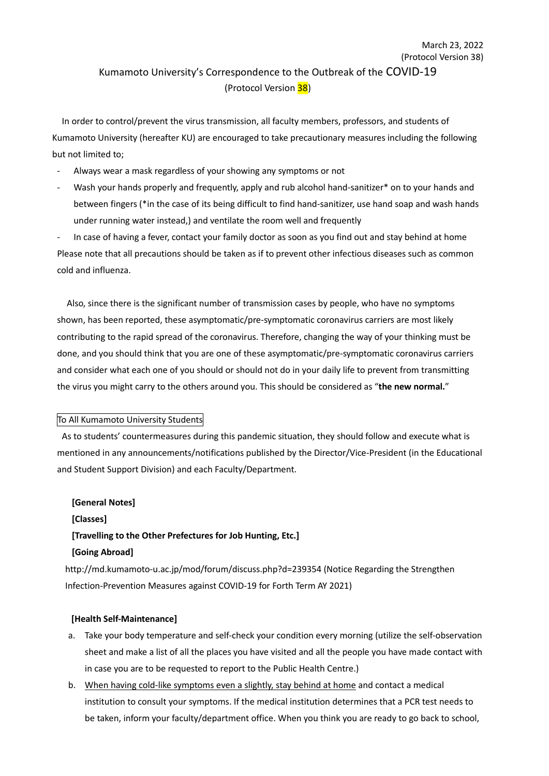## (Protocol Version 38) Kumamoto University's Correspondence to the Outbreak of the COVID-19 (Protocol Version 38)

March 23, 2022

In order to control/prevent the virus transmission, all faculty members, professors, and students of Kumamoto University (hereafter KU) are encouraged to take precautionary measures including the following but not limited to;

- Always wear a mask regardless of your showing any symptoms or not
- Wash your hands properly and frequently, apply and rub alcohol hand-sanitizer\* on to your hands and between fingers (\*in the case of its being difficult to find hand-sanitizer, use hand soap and wash hands under running water instead,) and ventilate the room well and frequently

In case of having a fever, contact your family doctor as soon as you find out and stay behind at home Please note that all precautions should be taken as if to prevent other infectious diseases such as common cold and influenza.

Also, since there is the significant number of transmission cases by people, who have no symptoms shown, has been reported, these asymptomatic/pre-symptomatic coronavirus carriers are most likely contributing to the rapid spread of the coronavirus. Therefore, changing the way of your thinking must be done, and you should think that you are one of these asymptomatic/pre-symptomatic coronavirus carriers and consider what each one of you should or should not do in your daily life to prevent from transmitting the virus you might carry to the others around you. This should be considered as "**the new normal.**"

## To All Kumamoto University Students

As to students' countermeasures during this pandemic situation, they should follow and execute what is mentioned in any announcements/notifications published by the Director/Vice-President (in the Educational and Student Support Division) and each Faculty/Department.

# **[General Notes] [Classes] [Travelling to the Other Prefectures for Job Hunting, Etc.] [Going Abroad]**

http://md.kumamoto-u.ac.jp/mod/forum/discuss.php?d=239354 (Notice Regarding the Strengthen Infection-Prevention Measures against COVID-19 for Forth Term AY 2021)

## **[Health Self-Maintenance]**

- a. Take your body temperature and self-check your condition every morning (utilize the self-observation sheet and make a list of all the places you have visited and all the people you have made contact with in case you are to be requested to report to the Public Health Centre.)
- b. When having cold-like symptoms even a slightly, stay behind at home and contact a medical institution to consult your symptoms. If the medical institution determines that a PCR test needs to be taken, inform your faculty/department office. When you think you are ready to go back to school,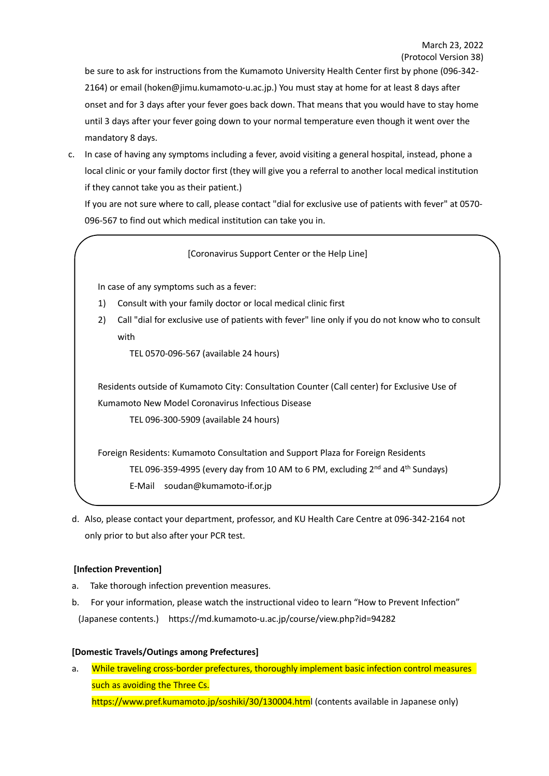be sure to ask for instructions from the Kumamoto University Health Center first by phone (096-342- 2164) or email (hoken@jimu.kumamoto-u.ac.jp.) You must stay at home for at least 8 days after onset and for 3 days after your fever goes back down. That means that you would have to stay home until 3 days after your fever going down to your normal temperature even though it went over the mandatory 8 days.

c. In case of having any symptoms including a fever, avoid visiting a general hospital, instead, phone a local clinic or your family doctor first (they will give you a referral to another local medical institution if they cannot take you as their patient.)

If you are not sure where to call, please contact "dial for exclusive use of patients with fever" at 0570- 096-567 to find out which medical institution can take you in.

## [Coronavirus Support Center or the Help Line]

In case of any symptoms such as a fever:

- 1) Consult with your family doctor or local medical clinic first
- 2) Call "dial for exclusive use of patients with fever" line only if you do not know who to consult with

TEL 0570-096-567 (available 24 hours)

Residents outside of Kumamoto City: Consultation Counter (Call center) for Exclusive Use of Kumamoto New Model Coronavirus Infectious Disease

TEL 096-300-5909 (available 24 hours)

Foreign Residents: Kumamoto Consultation and Support Plaza for Foreign Residents TEL 096-359-4995 (every day from 10 AM to 6 PM, excluding 2<sup>nd</sup> and 4<sup>th</sup> Sundays) E-Mail soudan@kumamoto-if.or.jp

d. Also, please contact your department, professor, and KU Health Care Centre at 096-342-2164 not only prior to but also after your PCR test.

## **[Infection Prevention]**

- a. Take thorough infection prevention measures.
- b. For your information, please watch the instructional video to learn "How to Prevent Infection" (Japanese contents.) https://md.kumamoto-u.ac.jp/course/view.php?id=94282

## **[Domestic Travels/Outings among Prefectures]**

a. While traveling cross-border prefectures, thoroughly implement basic infection control measures such as avoiding the Three Cs. https://www.pref.kumamoto.jp/soshiki/30/130004.html (contents available in Japanese only)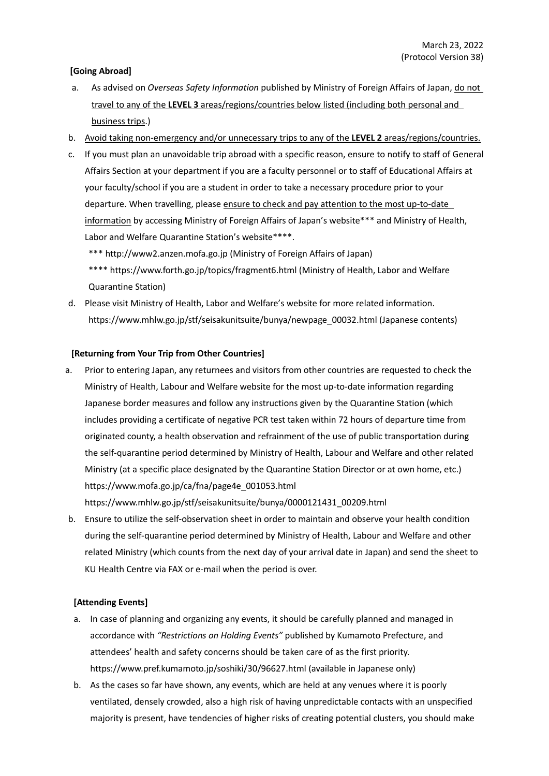## **[Going Abroad]**

- a. As advised on *Overseas Safety Information* published by Ministry of Foreign Affairs of Japan, do not travel to any of the **LEVEL 3** areas/regions/countries below listed (including both personal and business trips.)
- b. Avoid taking non-emergency and/or unnecessary trips to any of the **LEVEL 2** areas/regions/countries.
- c. If you must plan an unavoidable trip abroad with a specific reason, ensure to notify to staff of General Affairs Section at your department if you are a faculty personnel or to staff of Educational Affairs at your faculty/school if you are a student in order to take a necessary procedure prior to your departure. When travelling, please ensure to check and pay attention to the most up-to-date information by accessing Ministry of Foreign Affairs of Japan's website\*\*\* and Ministry of Health, Labor and Welfare Quarantine Station's website\*\*\*\*.

\*\*\* http://www2.anzen.mofa.go.jp (Ministry of Foreign Affairs of Japan)

\*\*\*\* https://www.forth.go.jp/topics/fragment6.html (Ministry of Health, Labor and Welfare Quarantine Station)

d. Please visit Ministry of Health, Labor and Welfare's website for more related information. https://www.mhlw.go.jp/stf/seisakunitsuite/bunya/newpage\_00032.html (Japanese contents)

## **[Returning from Your Trip from Other Countries]**

a. Prior to entering Japan, any returnees and visitors from other countries are requested to check the Ministry of Health, Labour and Welfare website for the most up-to-date information regarding Japanese border measures and follow any instructions given by the Quarantine Station (which includes providing a certificate of negative PCR test taken within 72 hours of departure time from originated county, a health observation and refrainment of the use of public transportation during the self-quarantine period determined by Ministry of Health, Labour and Welfare and other related Ministry (at a specific place designated by the Quarantine Station Director or at own home, etc.) https://www.mofa.go.jp/ca/fna/page4e\_001053.html

https://www.mhlw.go.jp/stf/seisakunitsuite/bunya/0000121431\_00209.html

b. Ensure to utilize the self-observation sheet in order to maintain and observe your health condition during the self-quarantine period determined by Ministry of Health, Labour and Welfare and other related Ministry (which counts from the next day of your arrival date in Japan) and send the sheet to KU Health Centre via FAX or e-mail when the period is over.

## **[Attending Events]**

- a. In case of planning and organizing any events, it should be carefully planned and managed in accordance with *"Restrictions on Holding Events"* published by Kumamoto Prefecture, and attendees' health and safety concerns should be taken care of as the first priority. https://www.pref.kumamoto.jp/soshiki/30/96627.html (available in Japanese only)
- b. As the cases so far have shown, any events, which are held at any venues where it is poorly ventilated, densely crowded, also a high risk of having unpredictable contacts with an unspecified majority is present, have tendencies of higher risks of creating potential clusters, you should make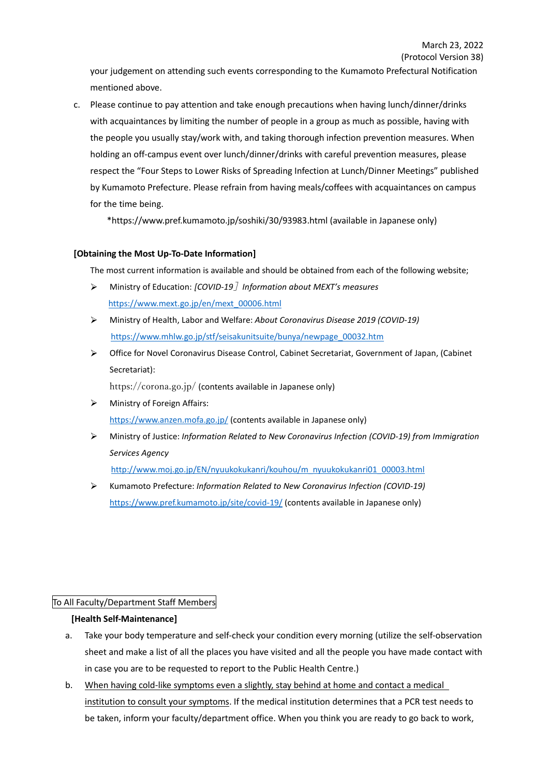your judgement on attending such events corresponding to the Kumamoto Prefectural Notification mentioned above.

c. Please continue to pay attention and take enough precautions when having lunch/dinner/drinks with acquaintances by limiting the number of people in a group as much as possible, having with the people you usually stay/work with, and taking thorough infection prevention measures. When holding an off-campus event over lunch/dinner/drinks with careful prevention measures, please respect the "Four Steps to Lower Risks of Spreading Infection at Lunch/Dinner Meetings" published by Kumamoto Prefecture. Please refrain from having meals/coffees with acquaintances on campus for the time being.

\*https://www.pref.kumamoto.jp/soshiki/30/93983.html (available in Japanese only)

## **[Obtaining the Most Up-To-Date Information]**

The most current information is available and should be obtained from each of the following website;

- $\blacktriangleright$ Ministry of Education: *[COVID-19*]*Information about MEXT's measures* https://www.mext.go.jp/en/mext\_00006.html
- Ministry of Health, Labor and Welfare: *About Coronavirus Disease 2019 (COVID-19)* https://www.mhlw.go.jp/stf/seisakunitsuite/bunya/newpage\_00032.htm
- Office for Novel Coronavirus Disease Control, Cabinet Secretariat, Government of Japan, (Cabinet  $\blacktriangle$ Secretariat):

https://corona.go.jp/ (contents available in Japanese only)

- Ministry of Foreign Affairs: https://www.anzen.mofa.go.jp/ (contents available in Japanese only)
- Ministry of Justice: *Information Related to New Coronavirus Infection (COVID-19) from Immigration Services Agency*

http://www.moj.go.jp/EN/nyuukokukanri/kouhou/m\_nyuukokukanri01\_00003.html

Kumamoto Prefecture: *Information Related to New Coronavirus Infection (COVID-19)* ↘ https://www.pref.kumamoto.jp/site/covid-19/ (contents available in Japanese only)

## To All Faculty/Department Staff Members

## **[Health Self-Maintenance]**

- a. Take your body temperature and self-check your condition every morning (utilize the self-observation sheet and make a list of all the places you have visited and all the people you have made contact with in case you are to be requested to report to the Public Health Centre.)
- b. When having cold-like symptoms even a slightly, stay behind at home and contact a medical institution to consult your symptoms. If the medical institution determines that a PCR test needs to be taken, inform your faculty/department office. When you think you are ready to go back to work,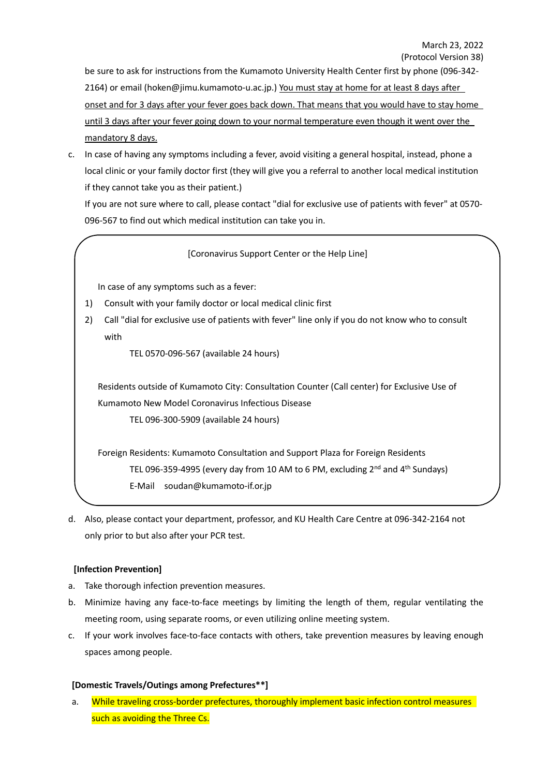be sure to ask for instructions from the Kumamoto University Health Center first by phone (096-342- 2164) or email (hoken@jimu.kumamoto-u.ac.jp.) You must stay at home for at least 8 days after onset and for 3 days after your fever goes back down. That means that you would have to stay home until 3 days after your fever going down to your normal temperature even though it went over the mandatory 8 days.

c. In case of having any symptoms including a fever, avoid visiting a general hospital, instead, phone a local clinic or your family doctor first (they will give you a referral to another local medical institution if they cannot take you as their patient.)

If you are not sure where to call, please contact "dial for exclusive use of patients with fever" at 0570- 096-567 to find out which medical institution can take you in.

## [Coronavirus Support Center or the Help Line]

In case of any symptoms such as a fever:

- 1) Consult with your family doctor or local medical clinic first
- 2) Call "dial for exclusive use of patients with fever" line only if you do not know who to consult with

TEL 0570-096-567 (available 24 hours)

Residents outside of Kumamoto City: Consultation Counter (Call center) for Exclusive Use of Kumamoto New Model Coronavirus Infectious Disease

TEL 096-300-5909 (available 24 hours)

Foreign Residents: Kumamoto Consultation and Support Plaza for Foreign Residents TEL 096-359-4995 (every day from 10 AM to 6 PM, excluding 2<sup>nd</sup> and 4<sup>th</sup> Sundays) E-Mail soudan@kumamoto-if.or.jp

d. Also, please contact your department, professor, and KU Health Care Centre at 096-342-2164 not only prior to but also after your PCR test.

## **[Infection Prevention]**

- a. Take thorough infection prevention measures.
- b. Minimize having any face-to-face meetings by limiting the length of them, regular ventilating the meeting room, using separate rooms, or even utilizing online meeting system.
- c. If your work involves face-to-face contacts with others, take prevention measures by leaving enough spaces among people.

#### **[Domestic Travels/Outings among Prefectures\*\*]**

a. While traveling cross-border prefectures, thoroughly implement basic infection control measures such as avoiding the Three Cs.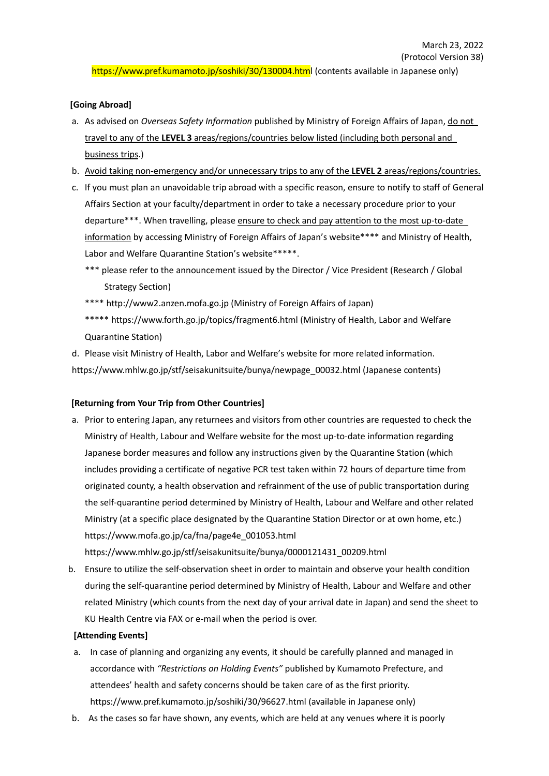https://www.pref.kumamoto.jp/soshiki/30/130004.html (contents available in Japanese only)

## **[Going Abroad]**

- a. As advised on *Overseas Safety Information* published by Ministry of Foreign Affairs of Japan, do not travel to any of the **LEVEL 3** areas/regions/countries below listed (including both personal and business trips.)
- b. Avoid taking non-emergency and/or unnecessary trips to any of the **LEVEL 2** areas/regions/countries.
- c. If you must plan an unavoidable trip abroad with a specific reason, ensure to notify to staff of General Affairs Section at your faculty/department in order to take a necessary procedure prior to your departure\*\*\*. When travelling, please ensure to check and pay attention to the most up-to-date information by accessing Ministry of Foreign Affairs of Japan's website\*\*\*\* and Ministry of Health, Labor and Welfare Quarantine Station's website\*\*\*\*\*.
	- \*\*\* please refer to the announcement issued by the Director / Vice President (Research / Global Strategy Section)
	- \*\*\*\* http://www2.anzen.mofa.go.jp (Ministry of Foreign Affairs of Japan)
	- \*\*\*\*\* https://www.forth.go.jp/topics/fragment6.html (Ministry of Health, Labor and Welfare Quarantine Station)

d. Please visit Ministry of Health, Labor and Welfare's website for more related information. https://www.mhlw.go.jp/stf/seisakunitsuite/bunya/newpage\_00032.html (Japanese contents)

## **[Returning from Your Trip from Other Countries]**

a. Prior to entering Japan, any returnees and visitors from other countries are requested to check the Ministry of Health, Labour and Welfare website for the most up-to-date information regarding Japanese border measures and follow any instructions given by the Quarantine Station (which includes providing a certificate of negative PCR test taken within 72 hours of departure time from originated county, a health observation and refrainment of the use of public transportation during the self-quarantine period determined by Ministry of Health, Labour and Welfare and other related Ministry (at a specific place designated by the Quarantine Station Director or at own home, etc.) https://www.mofa.go.jp/ca/fna/page4e\_001053.html

https://www.mhlw.go.jp/stf/seisakunitsuite/bunya/0000121431\_00209.html

b. Ensure to utilize the self-observation sheet in order to maintain and observe your health condition during the self-quarantine period determined by Ministry of Health, Labour and Welfare and other related Ministry (which counts from the next day of your arrival date in Japan) and send the sheet to KU Health Centre via FAX or e-mail when the period is over.

## **[Attending Events]**

- a. In case of planning and organizing any events, it should be carefully planned and managed in accordance with *"Restrictions on Holding Events"* published by Kumamoto Prefecture, and attendees' health and safety concerns should be taken care of as the first priority. https://www.pref.kumamoto.jp/soshiki/30/96627.html (available in Japanese only)
- b. As the cases so far have shown, any events, which are held at any venues where it is poorly